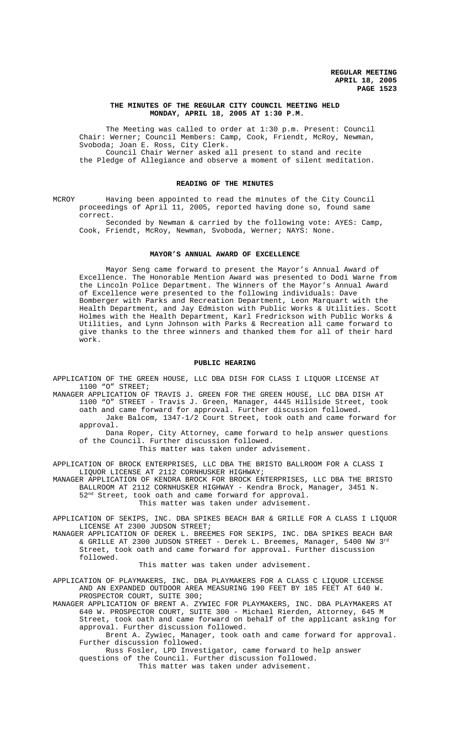### **THE MINUTES OF THE REGULAR CITY COUNCIL MEETING HELD MONDAY, APRIL 18, 2005 AT 1:30 P.M.**

The Meeting was called to order at 1:30 p.m. Present: Council Chair: Werner; Council Members: Camp, Cook, Friendt, McRoy, Newman, Svoboda; Joan E. Ross, City Clerk. Council Chair Werner asked all present to stand and recite the Pledge of Allegiance and observe a moment of silent meditation.

#### **READING OF THE MINUTES**

MCROY Having been appointed to read the minutes of the City Council proceedings of April 11, 2005, reported having done so, found same correct.

Seconded by Newman & carried by the following vote: AYES: Camp, Cook, Friendt, McRoy, Newman, Svoboda, Werner; NAYS: None.

### **MAYOR'S ANNUAL AWARD OF EXCELLENCE**

Mayor Seng came forward to present the Mayor's Annual Award of Excellence. The Honorable Mention Award was presented to Dodi Warne from the Lincoln Police Department. The Winners of the Mayor's Annual Award of Excellence were presented to the following individuals: Dave Bomberger with Parks and Recreation Department, Leon Marquart with the Health Department, and Jay Edmiston with Public Works & Utilities. Scott Holmes with the Health Department, Karl Fredrickson with Public Works & Utilities, and Lynn Johnson with Parks & Recreation all came forward to give thanks to the three winners and thanked them for all of their hard work.

#### **PUBLIC HEARING**

APPLICATION OF THE GREEN HOUSE, LLC DBA DISH FOR CLASS I LIQUOR LICENSE AT 1100 "O" STREET;

MANAGER APPLICATION OF TRAVIS J. GREEN FOR THE GREEN HOUSE, LLC DBA DISH AT 1100 "O" STREET - Travis J. Green, Manager, 4445 Hillside Street, took oath and came forward for approval. Further discussion followed. Jake Balcom, 1347-1/2 Court Street, took oath and came forward for approval.

Dana Roper, City Attorney, came forward to help answer questions of the Council. Further discussion followed. This matter was taken under advisement.

APPLICATION OF BROCK ENTERPRISES, LLC DBA THE BRISTO BALLROOM FOR A CLASS I LIQUOR LICENSE AT 2112 CORNHUSKER HIGHWAY;

MANAGER APPLICATION OF KENDRA BROCK FOR BROCK ENTERPRISES, LLC DBA THE BRISTO BALLROOM AT 2112 CORNHUSKER HIGHWAY - Kendra Brock, Manager, 3451 N. 52nd Street, took oath and came forward for approval. This matter was taken under advisement.

APPLICATION OF SEKIPS, INC. DBA SPIKES BEACH BAR & GRILLE FOR A CLASS I LIQUOR LICENSE AT 2300 JUDSON STREET;

MANAGER APPLICATION OF DEREK L. BREEMES FOR SEKIPS, INC. DBA SPIKES BEACH BAR & GRILLE AT 2300 JUDSON STREET - Derek L. Breemes, Manager, 5400 NW 3rd Street, took oath and came forward for approval. Further discussion followed.

This matter was taken under advisement.

APPLICATION OF PLAYMAKERS, INC. DBA PLAYMAKERS FOR A CLASS C LIQUOR LICENSE AND AN EXPANDED OUTDOOR AREA MEASURING 190 FEET BY 185 FEET AT 640 W. PROSPECTOR COURT, SUITE 300;

MANAGER APPLICATION OF BRENT A. ZYWIEC FOR PLAYMAKERS, INC. DBA PLAYMAKERS AT 640 W. PROSPECTOR COURT, SUITE 300 - Michael Rierden, Attorney, 645 M Street, took oath and came forward on behalf of the applicant asking for approval. Further discussion followed.

Brent A. Zywiec, Manager, took oath and came forward for approval. Further discussion followed.

Russ Fosler, LPD Investigator, came forward to help answer questions of the Council. Further discussion followed.

This matter was taken under advisement.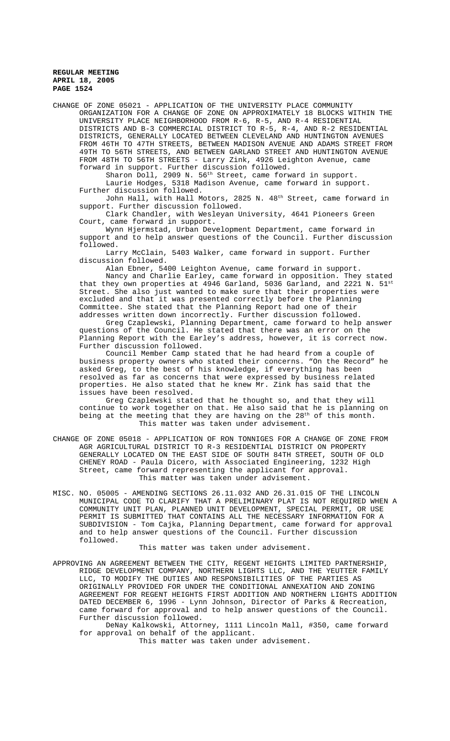CHANGE OF ZONE 05021 - APPLICATION OF THE UNIVERSITY PLACE COMMUNITY ORGANIZATION FOR A CHANGE OF ZONE ON APPROXIMATELY 18 BLOCKS WITHIN THE UNIVERSITY PLACE NEIGHBORHOOD FROM R-6, R-5, AND R-4 RESIDENTIAL DISTRICTS AND B-3 COMMERCIAL DISTRICT TO R-5, R-4, AND R-2 RESIDENTIAL DISTRICTS, GENERALLY LOCATED BETWEEN CLEVELAND AND HUNTINGTON AVENUES FROM 46TH TO 47TH STREETS, BETWEEN MADISON AVENUE AND ADAMS STREET FROM 49TH TO 56TH STREETS, AND BETWEEN GARLAND STREET AND HUNTINGTON AVENUE FROM 48TH TO 56TH STREETS - Larry Zink, 4926 Leighton Avenue, came forward in support. Further discussion followed.

Sharon Doll, 2909 N. 56<sup>th</sup> Street, came forward in support. Laurie Hodges, 5318 Madison Avenue, came forward in support. Further discussion followed.

John Hall, with Hall Motors, 2825 N. 48th Street, came forward in support. Further discussion followed.

Clark Chandler, with Wesleyan University, 4641 Pioneers Green Court, came forward in support.

Wynn Hjermstad, Urban Development Department, came forward in support and to help answer questions of the Council. Further discussion followed.

Larry McClain, 5403 Walker, came forward in support. Further discussion followed.

Alan Ebner, 5400 Leighton Avenue, came forward in support. Nancy and Charlie Earley, came forward in opposition. They stated that they own properties at  $4946$  Garland, 5036 Garland, and 2221 N.  $51^{st}$ Street. She also just wanted to make sure that their properties were excluded and that it was presented correctly before the Planning Committee. She stated that the Planning Report had one of their addresses written down incorrectly. Further discussion followed.

Greg Czaplewski, Planning Department, came forward to help answer questions of the Council. He stated that there was an error on the Planning Report with the Earley's address, however, it is correct now. Further discussion followed.

Council Member Camp stated that he had heard from a couple of business property owners who stated their concerns. "On the Record" he asked Greg, to the best of his knowledge, if everything has been resolved as far as concerns that were expressed by business related properties. He also stated that he knew Mr. Zink has said that the issues have been resolved.

Greg Czaplewski stated that he thought so, and that they will continue to work together on that. He also said that he is planning on being at the meeting that they are having on the 28<sup>th</sup> of this month. This matter was taken under advisement.

- CHANGE OF ZONE 05018 APPLICATION OF RON TONNIGES FOR A CHANGE OF ZONE FROM AGR AGRICULTURAL DISTRICT TO R-3 RESIDENTIAL DISTRICT ON PROPERTY GENERALLY LOCATED ON THE EAST SIDE OF SOUTH 84TH STREET, SOUTH OF OLD CHENEY ROAD - Paula Dicero, with Associated Engineering, 1232 High Street, came forward representing the applicant for approval. This matter was taken under advisement.
- MISC. NO. 05005 AMENDING SECTIONS 26.11.032 AND 26.31.015 OF THE LINCOLN MUNICIPAL CODE TO CLARIFY THAT A PRELIMINARY PLAT IS NOT REQUIRED WHEN A COMMUNITY UNIT PLAN, PLANNED UNIT DEVELOPMENT, SPECIAL PERMIT, OR USE PERMIT IS SUBMITTED THAT CONTAINS ALL THE NECESSARY INFORMATION FOR A SUBDIVISION - Tom Cajka, Planning Department, came forward for approval and to help answer questions of the Council. Further discussion followed.

This matter was taken under advisement.

APPROVING AN AGREEMENT BETWEEN THE CITY, REGENT HEIGHTS LIMITED PARTNERSHIP, RIDGE DEVELOPMENT COMPANY, NORTHERN LIGHTS LLC, AND THE YEUTTER FAMILY LLC, TO MODIFY THE DUTIES AND RESPONSIBILITIES OF THE PARTIES AS ORIGINALLY PROVIDED FOR UNDER THE CONDITIONAL ANNEXATION AND ZONING AGREEMENT FOR REGENT HEIGHTS FIRST ADDITION AND NORTHERN LIGHTS ADDITION DATED DECEMBER 6, 1996 - Lynn Johnson, Director of Parks & Recreation, came forward for approval and to help answer questions of the Council. Further discussion followed.

DeNay Kalkowski, Attorney, 1111 Lincoln Mall, #350, came forward for approval on behalf of the applicant.

This matter was taken under advisement.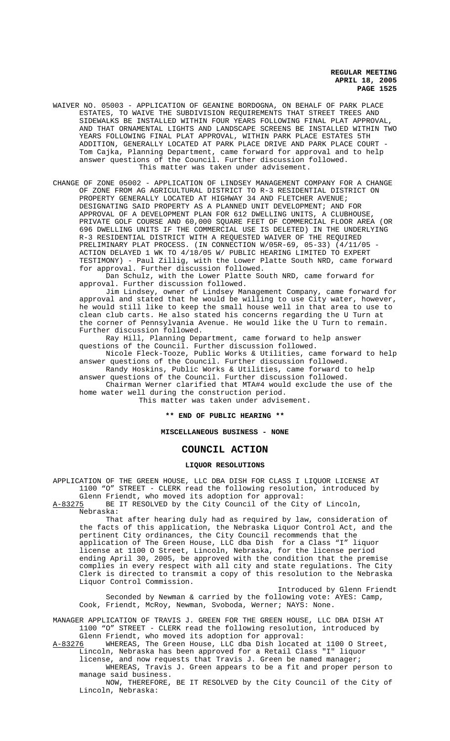- WAIVER NO. 05003 APPLICATION OF GEANINE BORDOGNA, ON BEHALF OF PARK PLACE ESTATES, TO WAIVE THE SUBDIVISION REQUIREMENTS THAT STREET TREES AND SIDEWALKS BE INSTALLED WITHIN FOUR YEARS FOLLOWING FINAL PLAT APPROVAL, AND THAT ORNAMENTAL LIGHTS AND LANDSCAPE SCREENS BE INSTALLED WITHIN TWO YEARS FOLLOWING FINAL PLAT APPROVAL, WITHIN PARK PLACE ESTATES 5TH ADDITION, GENERALLY LOCATED AT PARK PLACE DRIVE AND PARK PLACE COURT - Tom Cajka, Planning Department, came forward for approval and to help answer questions of the Council. Further discussion followed. This matter was taken under advisement.
- CHANGE OF ZONE 05002 APPLICATION OF LINDSEY MANAGEMENT COMPANY FOR A CHANGE OF ZONE FROM AG AGRICULTURAL DISTRICT TO R-3 RESIDENTIAL DISTRICT ON PROPERTY GENERALLY LOCATED AT HIGHWAY 34 AND FLETCHER AVENUE; DESIGNATING SAID PROPERTY AS A PLANNED UNIT DEVELOPMENT; AND FOR APPROVAL OF A DEVELOPMENT PLAN FOR 612 DWELLING UNITS, A CLUBHOUSE, PRIVATE GOLF COURSE AND 60,000 SQUARE FEET OF COMMERCIAL FLOOR AREA (OR 696 DWELLING UNITS IF THE COMMERCIAL USE IS DELETED) IN THE UNDERLYING R-3 RESIDENTIAL DISTRICT WITH A REQUESTED WAIVER OF THE REQUIRED PRELIMINARY PLAT PROCESS. (IN CONNECTION W/05R-69, 05-33) (4/11/05 ACTION DELAYED 1 WK TO 4/18/05 W/ PUBLIC HEARING LIMITED TO EXPERT TESTIMONY) - Paul Zillig, with the Lower Platte South NRD, came forward for approval. Further discussion followed.

Dan Schulz, with the Lower Platte South NRD, came forward for approval. Further discussion followed.

Jim Lindsey, owner of Lindsey Management Company, came forward for approval and stated that he would be willing to use City water, however, he would still like to keep the small house well in that area to use to clean club carts. He also stated his concerns regarding the U Turn at the corner of Pennsylvania Avenue. He would like the U Turn to remain. Further discussion followed.

Ray Hill, Planning Department, came forward to help answer questions of the Council. Further discussion followed.

Nicole Fleck-Tooze, Public Works & Utilities, came forward to help answer questions of the Council. Further discussion followed.

Randy Hoskins, Public Works & Utilities, came forward to help

answer questions of the Council. Further discussion followed. Chairman Werner clarified that MTA#4 would exclude the use of the

home water well during the construction period. This matter was taken under advisement.

### **\*\* END OF PUBLIC HEARING \*\***

### **MISCELLANEOUS BUSINESS - NONE**

# **COUNCIL ACTION**

# **LIQUOR RESOLUTIONS**

APPLICATION OF THE GREEN HOUSE, LLC DBA DISH FOR CLASS I LIQUOR LICENSE AT 1100 "O" STREET - CLERK read the following resolution, introduced by Glenn Friendt, who moved its adoption for approval:

A-83275 BE IT RESOLVED by the City Council of the City of Lincoln, Nebraska:

That after hearing duly had as required by law, consideration of the facts of this application, the Nebraska Liquor Control Act, and the pertinent City ordinances, the City Council recommends that the application of The Green House, LLC dba Dish for a Class "I" liquor license at 1100 O Street, Lincoln, Nebraska, for the license period ending April 30, 2005, be approved with the condition that the premise complies in every respect with all city and state regulations. The City Clerk is directed to transmit a copy of this resolution to the Nebraska Liquor Control Commission.

Introduced by Glenn Friendt Seconded by Newman & carried by the following vote: AYES: Camp, Cook, Friendt, McRoy, Newman, Svoboda, Werner; NAYS: None.

MANAGER APPLICATION OF TRAVIS J. GREEN FOR THE GREEN HOUSE, LLC DBA DISH AT 1100 "O" STREET - CLERK read the following resolution, introduced by

Glenn Friendt, who moved its adoption for approval:<br>A-83276 WHEREAS, The Green House, LLC dba Dish locate WHEREAS, The Green House, LLC dba Dish located at 1100 O Street, Lincoln, Nebraska has been approved for a Retail Class "I" liquor

license, and now requests that Travis J. Green be named manager; WHEREAS, Travis J. Green appears to be a fit and proper person to manage said business.

NOW, THEREFORE, BE IT RESOLVED by the City Council of the City of Lincoln, Nebraska: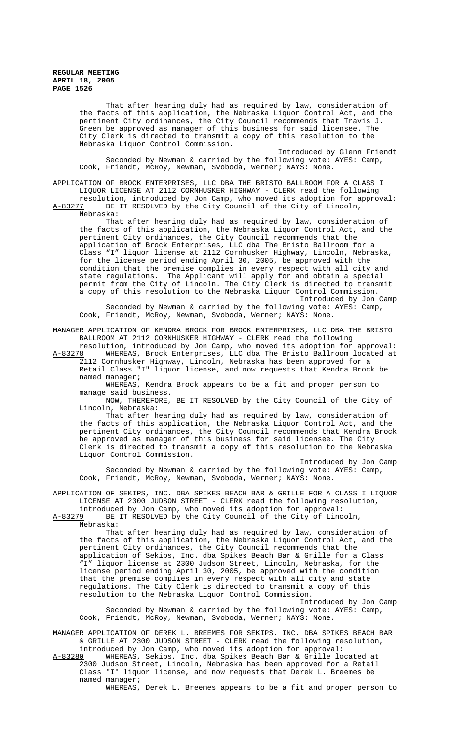That after hearing duly had as required by law, consideration of the facts of this application, the Nebraska Liquor Control Act, and the pertinent City ordinances, the City Council recommends that Travis J. Green be approved as manager of this business for said licensee. The City Clerk is directed to transmit a copy of this resolution to the Nebraska Liquor Control Commission.

Introduced by Glenn Friendt Seconded by Newman & carried by the following vote: AYES: Camp, Cook, Friendt, McRoy, Newman, Svoboda, Werner; NAYS: None.

APPLICATION OF BROCK ENTERPRISES, LLC DBA THE BRISTO BALLROOM FOR A CLASS I LIQUOR LICENSE AT 2112 CORNHUSKER HIGHWAY - CLERK read the following

resolution, introduced by Jon Camp, who moved its adoption for approval: A-83277 BE IT RESOLVED by the City Council of the City of Lincoln, Nebraska:

That after hearing duly had as required by law, consideration of the facts of this application, the Nebraska Liquor Control Act, and the pertinent City ordinances, the City Council recommends that the application of Brock Enterprises, LLC dba The Bristo Ballroom for a Class "I" liquor license at 2112 Cornhusker Highway, Lincoln, Nebraska, for the license period ending April 30, 2005, be approved with the condition that the premise complies in every respect with all city and state regulations. The Applicant will apply for and obtain a special permit from the City of Lincoln. The City Clerk is directed to transmit a copy of this resolution to the Nebraska Liquor Control Commission. Introduced by Jon Camp Seconded by Newman & carried by the following vote: AYES: Camp,

Cook, Friendt, McRoy, Newman, Svoboda, Werner; NAYS: None.

MANAGER APPLICATION OF KENDRA BROCK FOR BROCK ENTERPRISES, LLC DBA THE BRISTO BALLROOM AT 2112 CORNHUSKER HIGHWAY - CLERK read the following

resolution, introduced by Jon Camp, who moved its adoption for approval: A-83278 WHEREAS, Brock Enterprises, LLC dba The Bristo Ballroom located at 2112 Cornhusker Highway, Lincoln, Nebraska has been approved for a Retail Class "I" liquor license, and now requests that Kendra Brock be

named manager; WHEREAS, Kendra Brock appears to be a fit and proper person to manage said business.

NOW, THEREFORE, BE IT RESOLVED by the City Council of the City of Lincoln, Nebraska:

That after hearing duly had as required by law, consideration of the facts of this application, the Nebraska Liquor Control Act, and the pertinent City ordinances, the City Council recommends that Kendra Brock be approved as manager of this business for said licensee. The City Clerk is directed to transmit a copy of this resolution to the Nebraska Liquor Control Commission.

Introduced by Jon Camp Seconded by Newman & carried by the following vote: AYES: Camp, Cook, Friendt, McRoy, Newman, Svoboda, Werner; NAYS: None.

APPLICATION OF SEKIPS, INC. DBA SPIKES BEACH BAR & GRILLE FOR A CLASS I LIQUOR LICENSE AT 2300 JUDSON STREET - CLERK read the following resolution,

introduced by Jon Camp, who moved its adoption for approval: A-83279 BE IT RESOLVED by the City Council of the City of Lincoln, Nebraska:

That after hearing duly had as required by law, consideration of the facts of this application, the Nebraska Liquor Control Act, and the pertinent City ordinances, the City Council recommends that the application of Sekips, Inc. dba Spikes Beach Bar & Grille for a Class "I" liquor license at 2300 Judson Street, Lincoln, Nebraska, for the license period ending April 30, 2005, be approved with the condition that the premise complies in every respect with all city and state regulations. The City Clerk is directed to transmit a copy of this resolution to the Nebraska Liquor Control Commission.

Introduced by Jon Camp Seconded by Newman & carried by the following vote: AYES: Camp, Cook, Friendt, McRoy, Newman, Svoboda, Werner; NAYS: None.

MANAGER APPLICATION OF DEREK L. BREEMES FOR SEKIPS. INC. DBA SPIKES BEACH BAR & GRILLE AT 2300 JUDSON STREET - CLERK read the following resolution, introduced by Jon Camp, who moved its adoption for approval:

A-83280 WHEREAS, Sekips, Inc. dba Spikes Beach Bar & Grille located at 2300 Judson Street, Lincoln, Nebraska has been approved for a Retail Class "I" liquor license, and now requests that Derek L. Breemes be named manager;

WHEREAS, Derek L. Breemes appears to be a fit and proper person to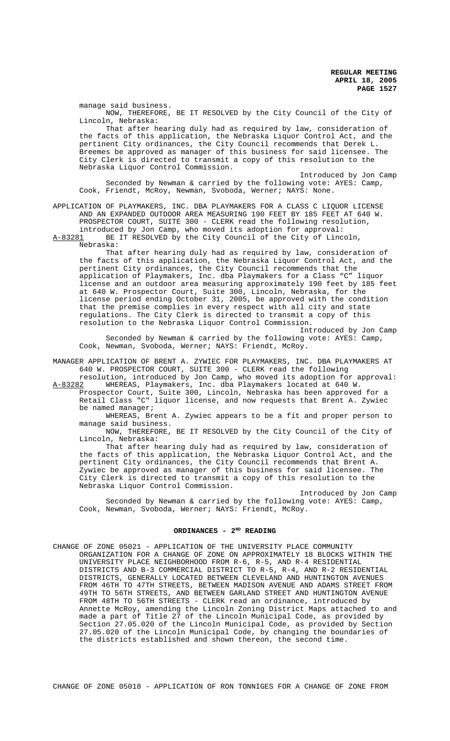manage said business. NOW, THEREFORE, BE IT RESOLVED by the City Council of the City of Lincoln, Nebraska:

That after hearing duly had as required by law, consideration of the facts of this application, the Nebraska Liquor Control Act, and the pertinent City ordinances, the City Council recommends that Derek L. Breemes be approved as manager of this business for said licensee. The City Clerk is directed to transmit a copy of this resolution to the Nebraska Liquor Control Commission.

Introduced by Jon Camp Seconded by Newman & carried by the following vote: AYES: Camp, Cook, Friendt, McRoy, Newman, Svoboda, Werner; NAYS: None.

APPLICATION OF PLAYMAKERS, INC. DBA PLAYMAKERS FOR A CLASS C LIQUOR LICENSE AND AN EXPANDED OUTDOOR AREA MEASURING 190 FEET BY 185 FEET AT 640 W. PROSPECTOR COURT, SUITE 300 - CLERK read the following resolution, introduced by Jon Camp, who moved its adoption for approval:<br>A-83281 BE IT RESOLVED by the City Council of the City of Linc BE IT RESOLVED by the City Council of the City of Lincoln,

Nebraska:

That after hearing duly had as required by law, consideration of the facts of this application, the Nebraska Liquor Control Act, and the pertinent City ordinances, the City Council recommends that the application of Playmakers, Inc. dba Playmakers for a Class "C" liquor license and an outdoor area measuring approximately 190 feet by 185 feet at 640 W. Prospector Court, Suite 300, Lincoln, Nebraska, for the license period ending October 31, 2005, be approved with the condition that the premise complies in every respect with all city and state regulations. The City Clerk is directed to transmit a copy of this resolution to the Nebraska Liquor Control Commission.

Introduced by Jon Camp Seconded by Newman & carried by the following vote: AYES: Camp, Cook, Newman, Svoboda, Werner; NAYS: Friendt, McRoy.

MANAGER APPLICATION OF BRENT A. ZYWIEC FOR PLAYMAKERS, INC. DBA PLAYMAKERS AT 640 W. PROSPECTOR COURT, SUITE 300 - CLERK read the following

resolution, introduced by Jon Camp, who moved its adoption for approval:<br>A-83282 WHEREAS, Playmakers, Inc. dba Playmakers located at 640 W. WHEREAS, Playmakers, Inc. dba Playmakers located at 640 W. Prospector Court, Suite 300, Lincoln, Nebraska has been approved for a

Retail Class "C" liquor license, and now requests that Brent A. Zywiec be named manager;

WHEREAS, Brent A. Zywiec appears to be a fit and proper person to manage said business.

NOW, THEREFORE, BE IT RESOLVED by the City Council of the City of Lincoln, Nebraska:

That after hearing duly had as required by law, consideration of the facts of this application, the Nebraska Liquor Control Act, and the pertinent City ordinances, the City Council recommends that Brent A. Zywiec be approved as manager of this business for said licensee. The City Clerk is directed to transmit a copy of this resolution to the Nebraska Liquor Control Commission.

Introduced by Jon Camp Seconded by Newman & carried by the following vote: AYES: Camp, Cook, Newman, Svoboda, Werner; NAYS: Friendt, McRoy.

## ORDINANCES - 2<sup>ND</sup> READING

CHANGE OF ZONE 05021 - APPLICATION OF THE UNIVERSITY PLACE COMMUNITY ORGANIZATION FOR A CHANGE OF ZONE ON APPROXIMATELY 18 BLOCKS WITHIN THE UNIVERSITY PLACE NEIGHBORHOOD FROM R-6, R-5, AND R-4 RESIDENTIAL DISTRICTS AND B-3 COMMERCIAL DISTRICT TO R-5, R-4, AND R-2 RESIDENTIAL DISTRICTS, GENERALLY LOCATED BETWEEN CLEVELAND AND HUNTINGTON AVENUES FROM 46TH TO 47TH STREETS, BETWEEN MADISON AVENUE AND ADAMS STREET FROM 49TH TO 56TH STREETS, AND BETWEEN GARLAND STREET AND HUNTINGTON AVENUE FROM 48TH TO 56TH STREETS - CLERK read an ordinance, introduced by Annette McRoy, amending the Lincoln Zoning District Maps attached to and made a part of Title 27 of the Lincoln Municipal Code, as provided by Section 27.05.020 of the Lincoln Municipal Code, as provided by Section 27.05.020 of the Lincoln Municipal Code, by changing the boundaries of the districts established and shown thereon, the second time.

CHANGE OF ZONE 05018 - APPLICATION OF RON TONNIGES FOR A CHANGE OF ZONE FROM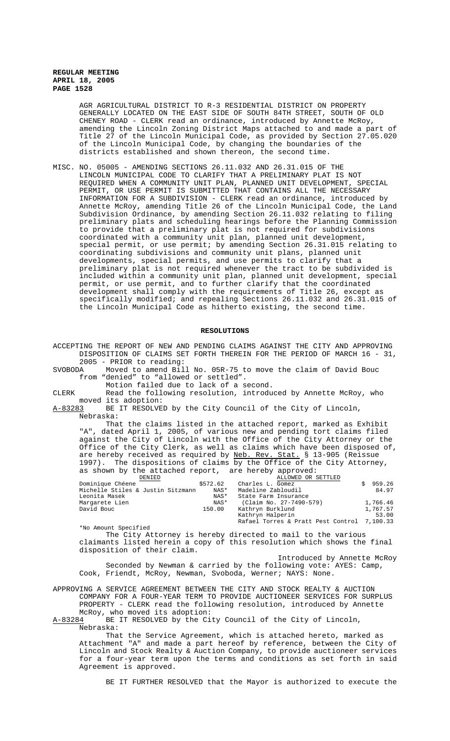AGR AGRICULTURAL DISTRICT TO R-3 RESIDENTIAL DISTRICT ON PROPERTY GENERALLY LOCATED ON THE EAST SIDE OF SOUTH 84TH STREET, SOUTH OF OLD CHENEY ROAD - CLERK read an ordinance, introduced by Annette McRoy, amending the Lincoln Zoning District Maps attached to and made a part of Title 27 of the Lincoln Municipal Code, as provided by Section 27.05.020 of the Lincoln Municipal Code, by changing the boundaries of the districts established and shown thereon, the second time.

MISC. NO. 05005 - AMENDING SECTIONS 26.11.032 AND 26.31.015 OF THE LINCOLN MUNICIPAL CODE TO CLARIFY THAT A PRELIMINARY PLAT IS NOT REQUIRED WHEN A COMMUNITY UNIT PLAN, PLANNED UNIT DEVELOPMENT, SPECIAL PERMIT, OR USE PERMIT IS SUBMITTED THAT CONTAINS ALL THE NECESSARY INFORMATION FOR A SUBDIVISION - CLERK read an ordinance, introduced by Annette McRoy, amending Title 26 of the Lincoln Municipal Code, the Land Subdivision Ordinance, by amending Section 26.11.032 relating to filing preliminary plats and scheduling hearings before the Planning Commission to provide that a preliminary plat is not required for subdivisions coordinated with a community unit plan, planned unit development, special permit, or use permit; by amending Section 26.31.015 relating to coordinating subdivisions and community unit plans, planned unit developments, special permits, and use permits to clarify that a preliminary plat is not required whenever the tract to be subdivided is included within a community unit plan, planned unit development, special permit, or use permit, and to further clarify that the coordinated development shall comply with the requirements of Title 26, except as specifically modified; and repealing Sections 26.11.032 and 26.31.015 of the Lincoln Municipal Code as hitherto existing, the second time.

# **RESOLUTIONS**

ACCEPTING THE REPORT OF NEW AND PENDING CLAIMS AGAINST THE CITY AND APPROVING DISPOSITION OF CLAIMS SET FORTH THEREIN FOR THE PERIOD OF MARCH 16 - 31, 2005 - PRIOR to reading:

SVOBODA Moved to amend Bill No. 05R-75 to move the claim of David Bouc from "denied" to "allowed or settled".

Motion failed due to lack of a second.

CLERK Read the following resolution, introduced by Annette McRoy, who moved its adoption:<br>A-83283 BE IT RESOLVE

BE IT RESOLVED by the City Council of the City of Lincoln, Nebraska:

That the claims listed in the attached report, marked as Exhibit "A", dated April 1, 2005, of various new and pending tort claims filed against the City of Lincoln with the Office of the City Attorney or the Office of the City Clerk, as well as claims which have been disposed of, are hereby received as required by Neb. Rev. Stat. § 13-905 (Reissue 1997). The dispositions of claims by the Office of the City Attorney, as shown by the attached report, are hereby approved:

| DENIED                            |          | ALLOWED OR SETTLED                          |          |
|-----------------------------------|----------|---------------------------------------------|----------|
| Dominique Chéene                  | \$572.62 | Charles L. Gomez                            | 959.26   |
| Michelle Stiles & Justin Sitzmann | NAS*     | Madeline Zabloudil                          | 84.97    |
| Leonita Masek                     | NAS*     | State Farm Insurance                        |          |
| Margarete Lien                    | NAS*     | (Claim No. 27-7490-579)                     | 1,766.46 |
| David Bouc                        | 150.00   | Kathryn Burklund                            | 1,767.57 |
|                                   |          | Kathryn Halperin                            | 53.00    |
|                                   |          | Rafael Torres & Pratt Pest Control 7,100.33 |          |

\*No Amount Specified

The City Attorney is hereby directed to mail to the various claimants listed herein a copy of this resolution which shows the final disposition of their claim.

Introduced by Annette McRoy Seconded by Newman & carried by the following vote: AYES: Camp, Cook, Friendt, McRoy, Newman, Svoboda, Werner; NAYS: None.

APPROVING A SERVICE AGREEMENT BETWEEN THE CITY AND STOCK REALTY & AUCTION COMPANY FOR A FOUR-YEAR TERM TO PROVIDE AUCTIONEER SERVICES FOR SURPLUS PROPERTY - CLERK read the following resolution, introduced by Annette

McRoy, who moved its adoption:<br>A-83284 BE IT RESOLVED by the Ci BE IT RESOLVED by the City Council of the City of Lincoln, Nebraska:

That the Service Agreement, which is attached hereto, marked as Attachment "A" and made a part hereof by reference, between the City of Lincoln and Stock Realty & Auction Company, to provide auctioneer services for a four-year term upon the terms and conditions as set forth in said Agreement is approved.

BE IT FURTHER RESOLVED that the Mayor is authorized to execute the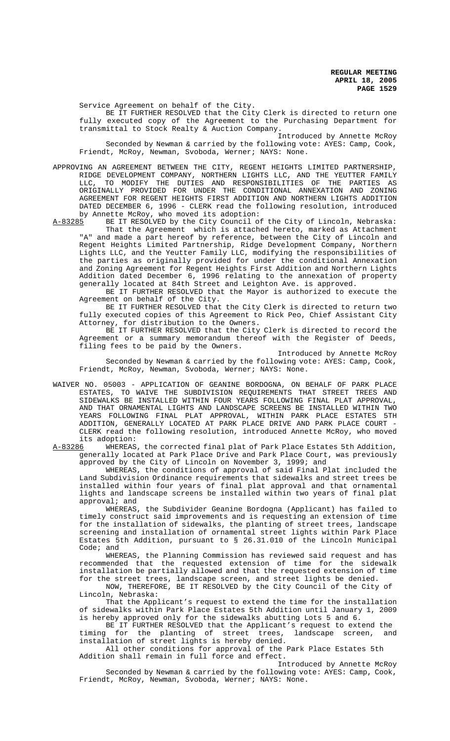Service Agreement on behalf of the City.

BE IT FURTHER RESOLVED that the City Clerk is directed to return one fully executed copy of the Agreement to the Purchasing Department for transmittal to Stock Realty & Auction Company.

Introduced by Annette McRoy Seconded by Newman & carried by the following vote: AYES: Camp, Cook, Friendt, McRoy, Newman, Svoboda, Werner; NAYS: None.

APPROVING AN AGREEMENT BETWEEN THE CITY, REGENT HEIGHTS LIMITED PARTNERSHIP, RIDGE DEVELOPMENT COMPANY, NORTHERN LIGHTS LLC, AND THE YEUTTER FAMILY LLC, TO MODIFY THE DUTIES AND RESPONSIBILITIES OF THE PARTIES AS ORIGINALLY PROVIDED FOR UNDER THE CONDITIONAL ANNEXATION AND ZONING AGREEMENT FOR REGENT HEIGHTS FIRST ADDITION AND NORTHERN LIGHTS ADDITION DATED DECEMBER 6, 1996 - CLERK read the following resolution, introduced by Annette McRoy, who moved its adoption:

A-83285 BE IT RESOLVED by the City Council of the City of Lincoln, Nebraska: That the Agreement which is attached hereto, marked as Attachment "A" and made a part hereof by reference, between the City of Lincoln and Regent Heights Limited Partnership, Ridge Development Company, Northern Lights LLC, and the Yeutter Family LLC, modifying the responsibilities of the parties as originally provided for under the conditional Annexation and Zoning Agreement for Regent Heights First Addition and Northern Lights Addition dated December 6, 1996 relating to the annexation of property generally located at 84th Street and Leighton Ave. is approved.

BE IT FURTHER RESOLVED that the Mayor is authorized to execute the Agreement on behalf of the City.

BE IT FURTHER RESOLVED that the City Clerk is directed to return two fully executed copies of this Agreement to Rick Peo, Chief Assistant City Attorney, for distribution to the Owners.

BE IT FURTHER RESOLVED that the City Clerk is directed to record the Agreement or a summary memorandum thereof with the Register of Deeds, filing fees to be paid by the Owners.

Introduced by Annette McRoy Seconded by Newman & carried by the following vote: AYES: Camp, Cook, Friendt, McRoy, Newman, Svoboda, Werner; NAYS: None.

WAIVER NO. 05003 - APPLICATION OF GEANINE BORDOGNA, ON BEHALF OF PARK PLACE ESTATES, TO WAIVE THE SUBDIVISION REQUIREMENTS THAT STREET TREES AND SIDEWALKS BE INSTALLED WITHIN FOUR YEARS FOLLOWING FINAL PLAT APPROVAL, AND THAT ORNAMENTAL LIGHTS AND LANDSCAPE SCREENS BE INSTALLED WITHIN TWO YEARS FOLLOWING FINAL PLAT APPROVAL, WITHIN PARK PLACE ESTATES 5TH ADDITION, GENERALLY LOCATED AT PARK PLACE DRIVE AND PARK PLACE COURT - CLERK read the following resolution, introduced Annette McRoy, who moved its adoption:<br>A-83286 WHEREAS

WHEREAS, the corrected final plat of Park Place Estates 5th Addition, generally located at Park Place Drive and Park Place Court, was previously approved by the City of Lincoln on November 3, 1999; and

WHEREAS, the conditions of approval of said Final Plat included the Land Subdivision Ordinance requirements that sidewalks and street trees be installed within four years of final plat approval and that ornamental lights and landscape screens be installed within two years of final plat approval; and

WHEREAS, the Subdivider Geanine Bordogna (Applicant) has failed to timely construct said improvements and is requesting an extension of time for the installation of sidewalks, the planting of street trees, landscape screening and installation of ornamental street lights within Park Place Estates 5th Addition, pursuant to § 26.31.010 of the Lincoln Municipal Code; and

WHEREAS, the Planning Commission has reviewed said request and has recommended that the requested extension of time for the sidewalk installation be partially allowed and that the requested extension of time for the street trees, landscape screen, and street lights be denied.

NOW, THEREFORE, BE IT RESOLVED by the City Council of the City of Lincoln, Nebraska:

That the Applicant's request to extend the time for the installation of sidewalks within Park Place Estates 5th Addition until January 1, 2009 is hereby approved only for the sidewalks abutting Lots 5 and 6.

BE IT FURTHER RESOLVED that the Applicant's request to extend the timing for the planting of street trees, landscape screen, and installation of street lights is hereby denied.

All other conditions for approval of the Park Place Estates 5th Addition shall remain in full force and effect.

Introduced by Annette McRoy Seconded by Newman & carried by the following vote: AYES: Camp, Cook, Friendt, McRoy, Newman, Svoboda, Werner; NAYS: None.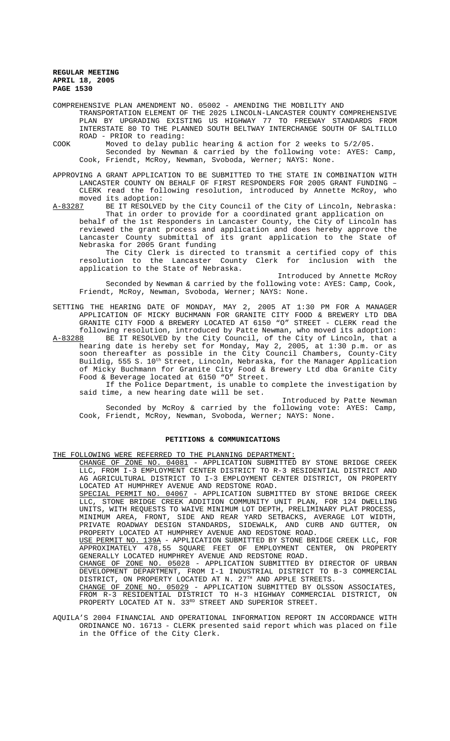COMPREHENSIVE PLAN AMENDMENT NO. 05002 - AMENDING THE MOBILITY AND TRANSPORTATION ELEMENT OF THE 2025 LINCOLN-LANCASTER COUNTY COMPREHENSIVE PLAN BY UPGRADING EXISTING US HIGHWAY 77 TO FREEWAY STANDARDS FROM INTERSTATE 80 TO THE PLANNED SOUTH BELTWAY INTERCHANGE SOUTH OF SALTILLO ROAD - PRIOR to reading:

COOK Moved to delay public hearing & action for 2 weeks to 5/2/05.

Seconded by Newman & carried by the following vote: AYES: Camp, Cook, Friendt, McRoy, Newman, Svoboda, Werner; NAYS: None.

APPROVING A GRANT APPLICATION TO BE SUBMITTED TO THE STATE IN COMBINATION WITH LANCASTER COUNTY ON BEHALF OF FIRST RESPONDERS FOR 2005 GRANT FUNDING – CLERK read the following resolution, introduced by Annette McRoy, who moved its adoption:

A-83287 BE IT RESOLVED by the City Council of the City of Lincoln, Nebraska: That in order to provide for a coordinated grant application on

behalf of the 1st Responders in Lancaster County, the City of Lincoln has reviewed the grant process and application and does hereby approve the Lancaster County submittal of its grant application to the State of Nebraska for 2005 Grant funding

The City Clerk is directed to transmit a certified copy of this resolution to the Lancaster County Clerk for inclusion with the application to the State of Nebraska.

Introduced by Annette McRoy Seconded by Newman & carried by the following vote: AYES: Camp, Cook, Friendt, McRoy, Newman, Svoboda, Werner; NAYS: None.

SETTING THE HEARING DATE OF MONDAY, MAY 2, 2005 AT 1:30 PM FOR A MANAGER APPLICATION OF MICKY BUCHMANN FOR GRANITE CITY FOOD & BREWERY LTD DBA GRANITE CITY FOOD & BREWERY LOCATED AT 6150 "O" STREET - CLERK read the following resolution, introduced by Patte Newman, who moved its adoption:

A-83288 BE IT RESOLVED by the City Council, of the City of Lincoln, that a hearing date is hereby set for Monday, May 2, 2005, at 1:30 p.m. or as soon thereafter as possible in the City Council Chambers, County-City Buildig, 555 S. 10<sup>th</sup> Street, Lincoln, Nebraska, for the Manager Application of Micky Buchmann for Granite City Food & Brewery Ltd dba Granite City Food & Beverage located at 6150 "O" Street.

If the Police Department, is unable to complete the investigation by said time, a new hearing date will be set.

Introduced by Patte Newman Seconded by McRoy & carried by the following vote: AYES: Camp, Cook, Friendt, McRoy, Newman, Svoboda, Werner; NAYS: None.

# **PETITIONS & COMMUNICATIONS**

THE FOLLOWING WERE REFERRED TO THE PLANNING DEPARTMENT:

CHANGE OF ZONE NO. 04081 - APPLICATION SUBMITTED BY STONE BRIDGE CREEK LLC, FROM I-3 EMPLOYMENT CENTER DISTRICT TO R-3 RESIDENTIAL DISTRICT AND AG AGRICULTURAL DISTRICT TO I-3 EMPLOYMENT CENTER DISTRICT, ON PROPERTY LOCATED AT HUMPHREY AVENUE AND REDSTONE ROAD.

SPECIAL PERMIT NO. 04067 - APPLICATION SUBMITTED BY STONE BRIDGE CREEK LLC, STONE BRIDGE CREEK ADDITION COMMUNITY UNIT PLAN, FOR 124 DWELLING UNITS, WITH REQUESTS TO WAIVE MINIMUM LOT DEPTH, PRELIMINARY PLAT PROCESS, MINIMUM AREA, FRONT, SIDE AND REAR YARD SETBACKS, AVERAGE LOT WIDTH, PRIVATE ROADWAY DESIGN STANDARDS, SIDEWALK, AND CURB AND GUTTER, ON PROPERTY LOCATED AT HUMPHREY AVENUE AND REDSTONE ROAD.

USE PERMIT NO. 139A - APPLICATION SUBMITTED BY STONE BRIDGE CREEK LLC, FOR<br>APPROXIMATELY 478,55 SQUARE FEET OF EMPLOYMENT CENTER, ON PROPERTY 478,55 SQUARE FEET OF EMPLOYMENT CENTER, ON PROPERTY GENERALLY LOCATED HUMPHREY AVENUE AND REDSTONE ROAD.

CHANGE OF ZONE NO. 05028 - APPLICATION SUBMITTED BY DIRECTOR OF URBAN DEVELOPMENT DEPARTMENT, FROM I-1 INDUSTRIAL DISTRICT TO B-3 COMMERCIAL DISTRICT, ON PROPERTY LOCATED AT N. 27<sup>TH</sup> AND APPLE STREETS.

CHANGE OF ZONE NO. 05029 - APPLICATION SUBMITTED BY OLSSON ASSOCIATES, FROM R-3 RESIDENTIAL DISTRICT TO H-3 HIGHWAY COMMERCIAL DISTRICT, ON PROPERTY LOCATED AT N. 33RD STREET AND SUPERIOR STREET.

AQUILA'S 2004 FINANCIAL AND OPERATIONAL INFORMATION REPORT IN ACCORDANCE WITH ORDINANCE NO. 16713 - CLERK presented said report which was placed on file in the Office of the City Clerk.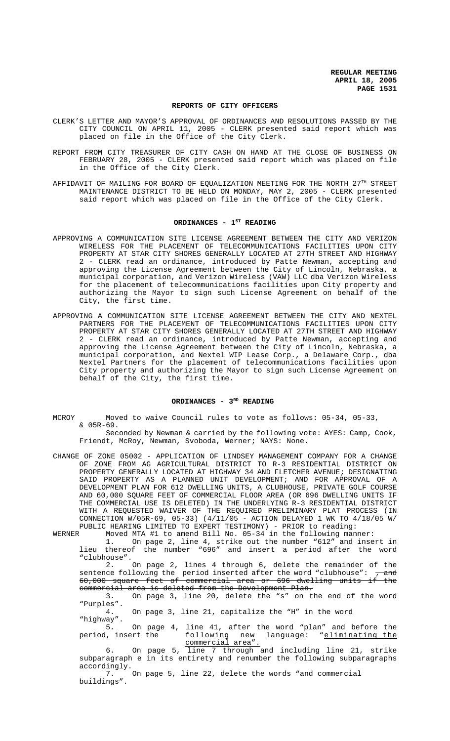### **REPORTS OF CITY OFFICERS**

- CLERK'S LETTER AND MAYOR'S APPROVAL OF ORDINANCES AND RESOLUTIONS PASSED BY THE CITY COUNCIL ON APRIL 11, 2005 - CLERK presented said report which was placed on file in the Office of the City Clerk.
- REPORT FROM CITY TREASURER OF CITY CASH ON HAND AT THE CLOSE OF BUSINESS ON FEBRUARY 28, 2005 - CLERK presented said report which was placed on file in the Office of the City Clerk.
- AFFIDAVIT OF MAILING FOR BOARD OF EQUALIZATION MEETING FOR THE NORTH  $27^{\text{th}}$  STREET MAINTENANCE DISTRICT TO BE HELD ON MONDAY, MAY 2, 2005 - CLERK presented said report which was placed on file in the Office of the City Clerk.

# ORDINANCES - 1<sup>st</sup> READING

- APPROVING A COMMUNICATION SITE LICENSE AGREEMENT BETWEEN THE CITY AND VERIZON WIRELESS FOR THE PLACEMENT OF TELECOMMUNICATIONS FACILITIES UPON CITY PROPERTY AT STAR CITY SHORES GENERALLY LOCATED AT 27TH STREET AND HIGHWAY 2 - CLERK read an ordinance, introduced by Patte Newman, accepting and approving the License Agreement between the City of Lincoln, Nebraska, a municipal corporation, and Verizon Wireless (VAW) LLC dba Verizon Wireless for the placement of telecommunications facilities upon City property and authorizing the Mayor to sign such License Agreement on behalf of the City, the first time.
- APPROVING A COMMUNICATION SITE LICENSE AGREEMENT BETWEEN THE CITY AND NEXTEL PARTNERS FOR THE PLACEMENT OF TELECOMMUNICATIONS FACILITIES UPON CITY PROPERTY AT STAR CITY SHORES GENERALLY LOCATED AT 27TH STREET AND HIGHWAY 2 - CLERK read an ordinance, introduced by Patte Newman, accepting and approving the License Agreement between the City of Lincoln, Nebraska, a municipal corporation, and Nextel WIP Lease Corp., a Delaware Corp., dba Nextel Partners for the placement of telecommunications facilities upon City property and authorizing the Mayor to sign such License Agreement on behalf of the City, the first time.

### **ORDINANCES - 3RD READING**

MCROY Moved to waive Council rules to vote as follows: 05-34, 05-33, & 05R-69.

Seconded by Newman & carried by the following vote: AYES: Camp, Cook, Friendt, McRoy, Newman, Svoboda, Werner; NAYS: None.

CHANGE OF ZONE 05002 - APPLICATION OF LINDSEY MANAGEMENT COMPANY FOR A CHANGE OF ZONE FROM AG AGRICULTURAL DISTRICT TO R-3 RESIDENTIAL DISTRICT ON PROPERTY GENERALLY LOCATED AT HIGHWAY 34 AND FLETCHER AVENUE; DESIGNATING SAID PROPERTY AS A PLANNED UNIT DEVELOPMENT; AND FOR APPROVAL OF A DEVELOPMENT PLAN FOR 612 DWELLING UNITS, A CLUBHOUSE, PRIVATE GOLF COURSE AND 60,000 SQUARE FEET OF COMMERCIAL FLOOR AREA (OR 696 DWELLING UNITS IF THE COMMERCIAL USE IS DELETED) IN THE UNDERLYING R-3 RESIDENTIAL DISTRICT WITH A REQUESTED WAIVER OF THE REQUIRED PRELIMINARY PLAT PROCESS (IN CONNECTION W/05R-69, 05-33) (4/11/05 - ACTION DELAYED 1 WK TO 4/18/05 W/ PUBLIC HEARING LIMITED TO EXPERT TESTIMONY) - PRIOR to reading:<br>WERNER Moved MTA #1 to amend Bill No. 05-34 in the following man

Moved MTA #1 to amend Bill No. 05-34 in the following manner:

1. On page 2, line 4, strike out the number "612" and insert in lieu thereof the number "696" and insert a period after the word "clubhouse".

2. On page 2, lines 4 through 6, delete the remainder of the sentence following the period inserted after the word "clubhouse":  $\frac{1}{7}$  and 60,000 square feet of commercial area or 696 dwelling units if the commercial area is deleted from the Development Plan.

3. On page 3, line 20, delete the "s" on the end of the word "Purples".

4. On page 3, line 21, capitalize the "H" in the word

"highway". 5. On page 4, line 41, after the word "plan" and before the period, insert the following new language: "eliminating the following new language: "eliminating the commercial area".

6. On page 5, line 7 through and including line 21, strike subparagraph e in its entirety and renumber the following subparagraphs accordingly.<br>7.

7. On page 5, line 22, delete the words "and commercial buildings".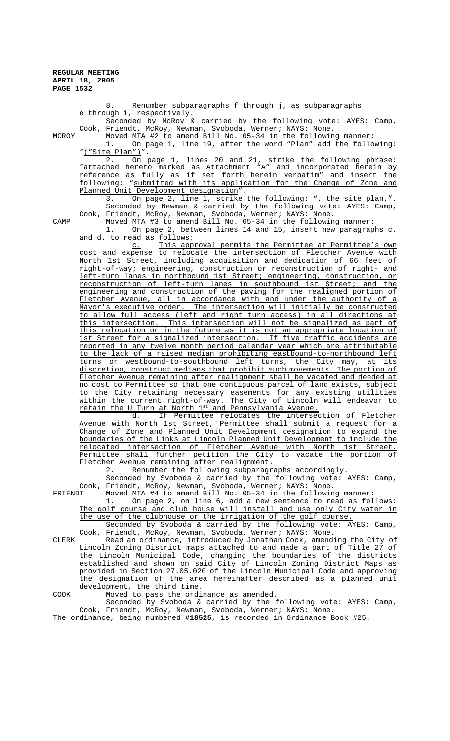8. Renumber subparagraphs f through j, as subparagraphs e through i, respectively.

Seconded by McRoy & carried by the following vote: AYES: Camp, Cook, Friendt, McRoy, Newman, Svoboda, Werner; NAYS: None.

MCROY Moved MTA #2 to amend Bill No. 05-34 in the following manner: 1. On page 1, line 19, after the word "Plan" add the following: "<u>("Site Plan")</u>"<br>2. On

2. On page 1, lines 20 and 21, strike the following phrase: "attached hereto marked as Attachment "A" and incorporated herein by reference as fully as if set forth herein verbatim" and insert the following: "submitted with its application for the Change of Zone and Planned Unit Development designation".

3. On page 2, line 1, strike the following: ", the site plan,". Seconded by Newman & carried by the following vote: AYES: Camp, Cook, Friendt, McRoy, Newman, Svoboda, Werner; NAYS: None.

CAMP Moved MTA #3 to amend Bill No. 05-34 in the following manner:

1. On page 2, between lines 14 and 15, insert new paragraphs c. and d. to read as follows:

c. This approval permits the Permittee at Permittee's own cost and expense to relocate the intersection of Fletcher Avenue with North 1st Street, including acquisition and dedication of 66 feet of right-of-way; engineering, construction or reconstruction of right- and left-turn lanes in northbound 1st Street; engineering, construction, or reconstruction of left-turn lanes in southbound 1st Street; and the engineering and construction of the paving for the realigned portion of Fletcher Avenue, all in accordance with and under the authority of a Mayor's executive order. The intersection will initially be constructed to allow full access (left and right turn access) in all directions at this intersection. This intersection will not be signalized as part of this relocation or in the future as it is not an appropriate location of 1st Street for a signalized intersection. If five traffic accidents are reported in any twelve month period calendar year which are attributable to the lack of a raised median prohibiting eastbound-to-northbound left turns or westbound-to-southbound left turns, the City may, at its discretion, construct medians that prohibit such movements. The portion of Fletcher Avenue remaining after realignment shall be vacated and deeded at no cost to Permittee so that one contiguous parcel of land exists, subject to the City retaining necessary easements for any existing utilities within the current right-of-way. The City of Lincoln will endeavor to retain the U Turn at North 1st and Pennsylvania Avenue.

d. If Permittee relocates the intersection of Fletcher<br>North 1st Street, Permittee shall submit a request for a Avenue with North 1st Street, Permittee shall submit a request for a Change of Zone and Planned Unit Development designation to expand the boundaries of the Links at Lincoln Planned Unit Development to include the relocated intersection of Fletcher Avenue with North 1st Street.<br>Permittee shall further petition the City to vacate the portion of shall further petition the City to vacate the portion of Fletcher Avenue remaining after realignment.

2. Renumber the following subparagraphs accordingly.

Seconded by Svoboda & carried by the following vote: AYES: Camp, Cook, Friendt, McRoy, Newman, Svoboda, Werner; NAYS: None.

Moved MTA #4 to amend Bill No. 05-34 in the following manner:

On page 2, on line 6, add a new sentence to read as follows: The golf course and club house will install and use only City water in the use of the clubhouse or the irrigation of the golf course.

Seconded by Svoboda & carried by the following vote: AYES: Camp, Cook, Friendt, McRoy, Newman, Svoboda, Werner; NAYS: None.

CLERK Read an ordinance, introduced by Jonathan Cook, amending the City of Lincoln Zoning District maps attached to and made a part of Title 27 of the Lincoln Municipal Code, changing the boundaries of the districts established and shown on said City of Lincoln Zoning District Maps as provided in Section 27.05.020 of the Lincoln Municipal Code and approving the designation of the area hereinafter described as a planned unit development, the third time.

COOK Moved to pass the ordinance as amended.

Seconded by Svoboda & carried by the following vote: AYES: Camp, Cook, Friendt, McRoy, Newman, Svoboda, Werner; NAYS: None.

The ordinance, being numbered **#18525**, is recorded in Ordinance Book #25.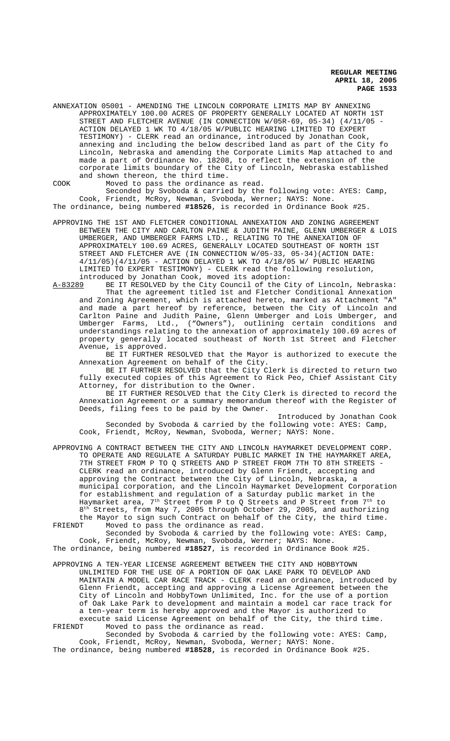ANNEXATION 05001 - AMENDING THE LINCOLN CORPORATE LIMITS MAP BY ANNEXING APPROXIMATELY 100.00 ACRES OF PROPERTY GENERALLY LOCATED AT NORTH 1ST STREET AND FLETCHER AVENUE (IN CONNECTION W/05R-69, 05-34) (4/11/05 - ACTION DELAYED 1 WK TO 4/18/05 W/PUBLIC HEARING LIMITED TO EXPERT TESTIMONY) - CLERK read an ordinance, introduced by Jonathan Cook, annexing and including the below described land as part of the City fo Lincoln, Nebraska and amending the Corporate Limits Map attached to and made a part of Ordinance No. 18208, to reflect the extension of the corporate limits boundary of the City of Lincoln, Nebraska established and shown thereon, the third time.

COOK Moved to pass the ordinance as read. Seconded by Svoboda & carried by the following vote: AYES: Camp, Cook, Friendt, McRoy, Newman, Svoboda, Werner; NAYS: None. The ordinance, being numbered **#18526**, is recorded in Ordinance Book #25.

APPROVING THE 1ST AND FLETCHER CONDITIONAL ANNEXATION AND ZONING AGREEMENT BETWEEN THE CITY AND CARLTON PAINE & JUDITH PAINE, GLENN UMBERGER & LOIS UMBERGER, AND UMBERGER FARMS LTD., RELATING TO THE ANNEXATION OF APPROXIMATELY 100.69 ACRES, GENERALLY LOCATED SOUTHEAST OF NORTH 1ST STREET AND FLETCHER AVE (IN CONNECTION W/05-33, 05-34)(ACTION DATE: 4/11/05)(4/11/05 - ACTION DELAYED 1 WK TO 4/18/05 W/ PUBLIC HEARING LIMITED TO EXPERT TESTIMONY) - CLERK read the following resolution, introduced by Jonathan Cook, moved its adoption:

A-83289 BE IT RESOLVED by the City Council of the City of Lincoln, Nebraska: That the agreement titled 1st and Fletcher Conditional Annexation and Zoning Agreement, which is attached hereto, marked as Attachment "A" and made a part hereof by reference, between the City of Lincoln and Carlton Paine and Judith Paine, Glenn Umberger and Lois Umberger, and<br>Umberger Farms, Ltd., ("Owners"), outlining certain conditions and Umberger Farms, Ltd., ("Owners"), outlining certain conditions understandings relating to the annexation of approximately 100.69 acres of property generally located southeast of North 1st Street and Fletcher Avenue, is approved.

BE IT FURTHER RESOLVED that the Mayor is authorized to execute the Annexation Agreement on behalf of the City.

BE IT FURTHER RESOLVED that the City Clerk is directed to return two fully executed copies of this Agreement to Rick Peo, Chief Assistant City Attorney, for distribution to the Owner.

BE IT FURTHER RESOLVED that the City Clerk is directed to record the Annexation Agreement or a summary memorandum thereof with the Register of Deeds, filing fees to be paid by the Owner.

Introduced by Jonathan Cook Seconded by Svoboda & carried by the following vote: AYES: Camp, Cook, Friendt, McRoy, Newman, Svoboda, Werner; NAYS: None.

APPROVING A CONTRACT BETWEEN THE CITY AND LINCOLN HAYMARKET DEVELOPMENT CORP. TO OPERATE AND REGULATE A SATURDAY PUBLIC MARKET IN THE HAYMARKET AREA, 7TH STREET FROM P TO Q STREETS AND P STREET FROM 7TH TO 8TH STREETS - CLERK read an ordinance, introduced by Glenn Friendt, accepting and approving the Contract between the City of Lincoln, Nebraska, a municipal corporation, and the Lincoln Haymarket Development Corporation for establishment and regulation of a Saturday public market in the Haymarket area,  $7^{\rm th}$  Street from P to Q Streets and P Street from  $7^{\rm th}$  to 8<sup>th</sup> Streets, from May 7, 2005 through October 29, 2005, and authorizing the Mayor to sign such Contract on behalf of the City, the third time.<br>FRIENDT Moved to pass the ordinance as read. Moved to pass the ordinance as read.

Seconded by Svoboda & carried by the following vote: AYES: Camp, Cook, Friendt, McRoy, Newman, Svoboda, Werner; NAYS: None.

The ordinance, being numbered **#18527**, is recorded in Ordinance Book #25.

APPROVING A TEN-YEAR LICENSE AGREEMENT BETWEEN THE CITY AND HOBBYTOWN UNLIMITED FOR THE USE OF A PORTION OF OAK LAKE PARK TO DEVELOP AND MAINTAIN A MODEL CAR RACE TRACK - CLERK read an ordinance, introduced by Glenn Friendt, accepting and approving a License Agreement between the City of Lincoln and HobbyTown Unlimited, Inc. for the use of a portion of Oak Lake Park to development and maintain a model car race track for a ten-year term is hereby approved and the Mayor is authorized to execute said License Agreement on behalf of the City, the third time.<br>FRIENDT Moved to pass the ordinance as read. Moved to pass the ordinance as read.

Seconded by Svoboda & carried by the following vote: AYES: Camp, Cook, Friendt, McRoy, Newman, Svoboda, Werner; NAYS: None. The ordinance, being numbered **#18528,** is recorded in Ordinance Book #25.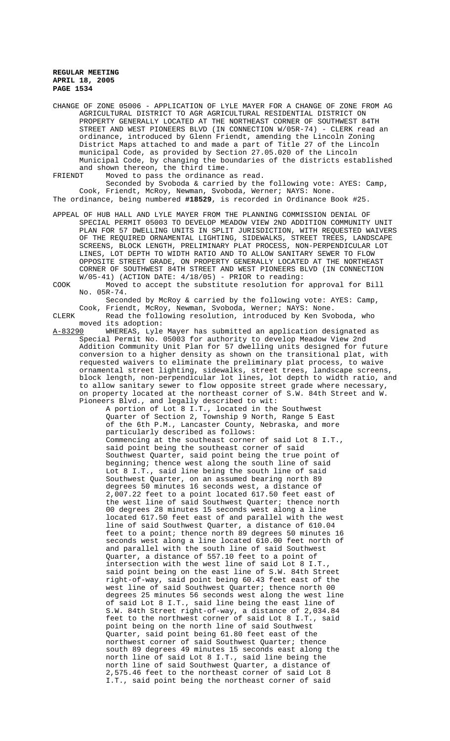CHANGE OF ZONE 05006 - APPLICATION OF LYLE MAYER FOR A CHANGE OF ZONE FROM AG AGRICULTURAL DISTRICT TO AGR AGRICULTURAL RESIDENTIAL DISTRICT ON PROPERTY GENERALLY LOCATED AT THE NORTHEAST CORNER OF SOUTHWEST 84TH STREET AND WEST PIONEERS BLVD (IN CONNECTION W/05R-74) - CLERK read an ordinance, introduced by Glenn Friendt, amending the Lincoln Zoning District Maps attached to and made a part of Title 27 of the Lincoln municipal Code, as provided by Section 27.05.020 of the Lincoln Municipal Code, by changing the boundaries of the districts established and shown thereon, the third time.<br>FRIENDT Moved to pass the ordinance

Moved to pass the ordinance as read.

Seconded by Svoboda & carried by the following vote: AYES: Camp, Cook, Friendt, McRoy, Newman, Svoboda, Werner; NAYS: None. The ordinance, being numbered **#18529**, is recorded in Ordinance Book #25.

APPEAL OF HUB HALL AND LYLE MAYER FROM THE PLANNING COMMISSION DENIAL OF SPECIAL PERMIT 05003 TO DEVELOP MEADOW VIEW 2ND ADDITION COMMUNITY UNIT PLAN FOR 57 DWELLING UNITS IN SPLIT JURISDICTION, WITH REQUESTED WAIVERS OF THE REQUIRED ORNAMENTAL LIGHTING, SIDEWALKS, STREET TREES, LANDSCAPE SCREENS, BLOCK LENGTH, PRELIMINARY PLAT PROCESS, NON-PERPENDICULAR LOT LINES, LOT DEPTH TO WIDTH RATIO AND TO ALLOW SANITARY SEWER TO FLOW OPPOSITE STREET GRADE, ON PROPERTY GENERALLY LOCATED AT THE NORTHEAST CORNER OF SOUTHWEST 84TH STREET AND WEST PIONEERS BLVD (IN CONNECTION  $W/05-41)$  (ACTION DATE:  $4/18/05$ ) - PRIOR to reading:

COOK Moved to accept the substitute resolution for approval for Bill No. 05R-74.

Seconded by McRoy & carried by the following vote: AYES: Camp, Cook, Friendt, McRoy, Newman, Svoboda, Werner; NAYS: None.

CLERK Read the following resolution, introduced by Ken Svoboda, who moved its adoption:<br>A-83290 WHEREAS, Lyle

A-83290 WHEREAS, Lyle Mayer has submitted an application designated as Special Permit No. 05003 for authority to develop Meadow View 2nd Addition Community Unit Plan for 57 dwelling units designed for future conversion to a higher density as shown on the transitional plat, with requested waivers to eliminate the preliminary plat process, to waive ornamental street lighting, sidewalks, street trees, landscape screens, block length, non-perpendicular lot lines, lot depth to width ratio, and to allow sanitary sewer to flow opposite street grade where necessary, on property located at the northeast corner of S.W. 84th Street and W. Pioneers Blvd., and legally described to wit:

A portion of Lot 8 I.T., located in the Southwest Quarter of Section 2, Township 9 North, Range 5 East of the 6th P.M., Lancaster County, Nebraska, and more particularly described as follows: Commencing at the southeast corner of said Lot 8 I.T., said point being the southeast corner of said Southwest Quarter, said point being the true point of beginning; thence west along the south line of said Lot 8 I.T., said line being the south line of said Southwest Quarter, on an assumed bearing north 89 degrees 50 minutes 16 seconds west, a distance of 2,007.22 feet to a point located 617.50 feet east of the west line of said Southwest Quarter; thence north 00 degrees 28 minutes 15 seconds west along a line located 617.50 feet east of and parallel with the west line of said Southwest Quarter, a distance of 610.04 feet to a point; thence north 89 degrees 50 minutes 16 seconds west along a line located 610.00 feet north of and parallel with the south line of said Southwest Quarter, a distance of 557.10 feet to a point of intersection with the west line of said Lot 8 I.T., said point being on the east line of S.W. 84th Street right-of-way, said point being 60.43 feet east of the west line of said Southwest Quarter; thence north 00 degrees 25 minutes 56 seconds west along the west line of said Lot 8 I.T., said line being the east line of S.W. 84th Street right-of-way, a distance of 2,034.84 feet to the northwest corner of said Lot 8 I.T., said point being on the north line of said Southwest Quarter, said point being 61.80 feet east of the northwest corner of said Southwest Quarter; thence south 89 degrees 49 minutes 15 seconds east along the north line of said Lot 8 I.T., said line being the north line of said Southwest Quarter, a distance of 2,575.46 feet to the northeast corner of said Lot 8 I.T., said point being the northeast corner of said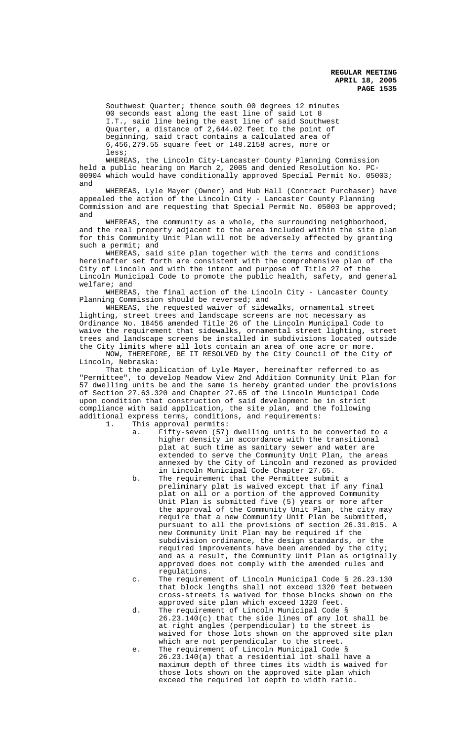Southwest Quarter; thence south 00 degrees 12 minutes 00 seconds east along the east line of said Lot 8 I.T., said line being the east line of said Southwest Quarter, a distance of 2,644.02 feet to the point of beginning, said tract contains a calculated area of 6,456,279.55 square feet or 148.2158 acres, more or less;

WHEREAS, the Lincoln City-Lancaster County Planning Commission held a public hearing on March 2, 2005 and denied Resolution No. PC-00904 which would have conditionally approved Special Permit No. 05003; and

WHEREAS, Lyle Mayer (Owner) and Hub Hall (Contract Purchaser) have appealed the action of the Lincoln City - Lancaster County Planning Commission and are requesting that Special Permit No. 05003 be approved; and

WHEREAS, the community as a whole, the surrounding neighborhood, and the real property adjacent to the area included within the site plan for this Community Unit Plan will not be adversely affected by granting such a permit; and

WHEREAS, said site plan together with the terms and conditions hereinafter set forth are consistent with the comprehensive plan of the City of Lincoln and with the intent and purpose of Title 27 of the Lincoln Municipal Code to promote the public health, safety, and general welfare; and

WHEREAS, the final action of the Lincoln City - Lancaster County Planning Commission should be reversed; and

WHEREAS, the requested waiver of sidewalks, ornamental street lighting, street trees and landscape screens are not necessary as Ordinance No. 18456 amended Title 26 of the Lincoln Municipal Code to waive the requirement that sidewalks, ornamental street lighting, street trees and landscape screens be installed in subdivisions located outside the City limits where all lots contain an area of one acre or more.

NOW, THEREFORE, BE IT RESOLVED by the City Council of the City of Lincoln, Nebraska:

That the application of Lyle Mayer, hereinafter referred to as "Permittee", to develop Meadow View 2nd Addition Community Unit Plan for 57 dwelling units be and the same is hereby granted under the provisions of Section 27.63.320 and Chapter 27.65 of the Lincoln Municipal Code upon condition that construction of said development be in strict compliance with said application, the site plan, and the following additional express terms, conditions, and requirements:

1. This approval permits:

- a. Fifty-seven (57) dwelling units to be converted to a higher density in accordance with the transitional plat at such time as sanitary sewer and water are extended to serve the Community Unit Plan, the areas annexed by the City of Lincoln and rezoned as provided in Lincoln Municipal Code Chapter 27.65.
- b. The requirement that the Permittee submit a preliminary plat is waived except that if any final plat on all or a portion of the approved Community Init Plan is submitted five (5) years or more after the approval of the Community Unit Plan, the city may require that a new Community Unit Plan be submitted, pursuant to all the provisions of section 26.31.015. A new Community Unit Plan may be required if the subdivision ordinance, the design standards, or the required improvements have been amended by the city; and as a result, the Community Unit Plan as originally approved does not comply with the amended rules and regulations.
- c. The requirement of Lincoln Municipal Code § 26.23.130 that block lengths shall not exceed 1320 feet between cross-streets is waived for those blocks shown on the approved site plan which exceed 1320 feet.
- d. The requirement of Lincoln Municipal Code § 26.23.140(c) that the side lines of any lot shall be at right angles (perpendicular) to the street is waived for those lots shown on the approved site plan which are not perpendicular to the street.
- e. The requirement of Lincoln Municipal Code § 26.23.140(a) that a residential lot shall have a maximum depth of three times its width is waived for those lots shown on the approved site plan which exceed the required lot depth to width ratio.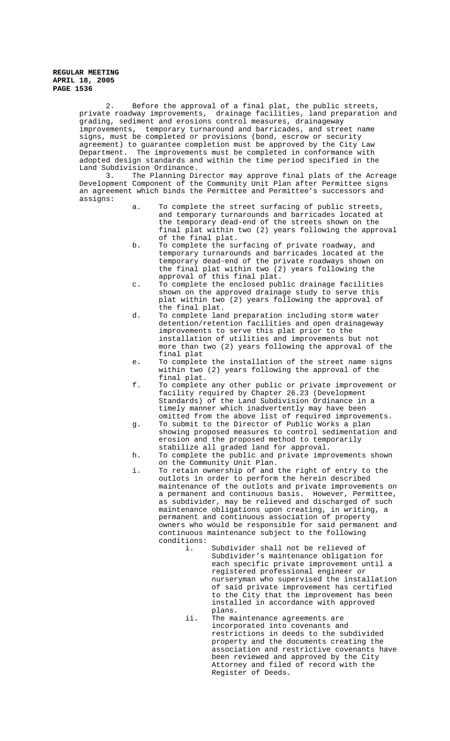2. Before the approval of a final plat, the public streets, private roadway improvements, drainage facilities, land preparation and grading, sediment and erosions control measures, drainageway improvements, temporary turnaround and barricades, and street name signs, must be completed or provisions (bond, escrow or security agreement) to guarantee completion must be approved by the City Law Department. The improvements must be completed in conformance with adopted design standards and within the time period specified in the Land Subdivision Ordinance.

3. The Planning Director may approve final plats of the Acreage Development Component of the Community Unit Plan after Permittee signs an agreement which binds the Permittee and Permittee's successors and assigns:

- To complete the street surfacing of public streets, and temporary turnarounds and barricades located at the temporary dead-end of the streets shown on the final plat within two (2) years following the approval of the final plat.
- b. To complete the surfacing of private roadway, and temporary turnarounds and barricades located at the temporary dead-end of the private roadways shown on the final plat within two (2) years following the approval of this final plat.
- c. To complete the enclosed public drainage facilities shown on the approved drainage study to serve this plat within two (2) years following the approval of the final plat.
- d. To complete land preparation including storm water detention/retention facilities and open drainageway improvements to serve this plat prior to the installation of utilities and improvements but not more than two (2) years following the approval of the final plat
- e. To complete the installation of the street name signs within two (2) years following the approval of the final plat.
- f. To complete any other public or private improvement or facility required by Chapter 26.23 (Development Standards) of the Land Subdivision Ordinance in a timely manner which inadvertently may have been omitted from the above list of required improvements.
- g. To submit to the Director of Public Works a plan showing proposed measures to control sedimentation and erosion and the proposed method to temporarily stabilize all graded land for approval.
- h. To complete the public and private improvements shown on the Community Unit Plan.
- i. To retain ownership of and the right of entry to the outlots in order to perform the herein described maintenance of the outlots and private improvements on a permanent and continuous basis. However, Permittee, as subdivider, may be relieved and discharged of such maintenance obligations upon creating, in writing, a permanent and continuous association of property owners who would be responsible for said permanent and continuous maintenance subject to the following conditions:
	- Subdivider shall not be relieved of Subdivider's maintenance obligation for each specific private improvement until a registered professional engineer or nurseryman who supervised the installation of said private improvement has certified to the City that the improvement has been installed in accordance with approved plans.
	- ii. The maintenance agreements are incorporated into covenants and restrictions in deeds to the subdivided property and the documents creating the association and restrictive covenants have been reviewed and approved by the City Attorney and filed of record with the Register of Deeds.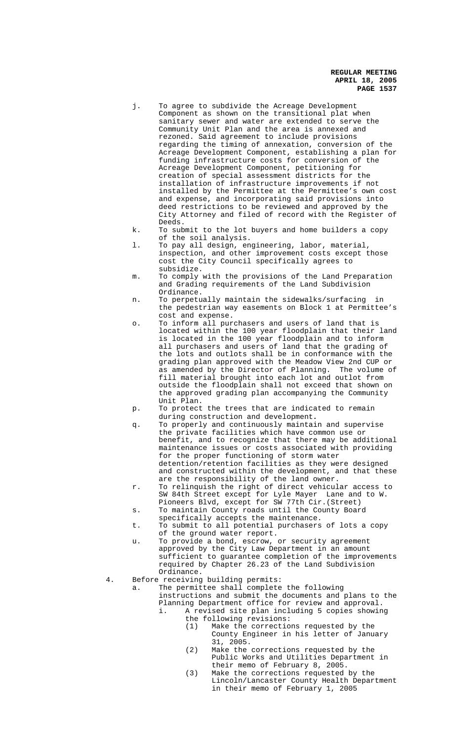- j. To agree to subdivide the Acreage Development Component as shown on the transitional plat when sanitary sewer and water are extended to serve the Community Unit Plan and the area is annexed and rezoned. Said agreement to include provisions regarding the timing of annexation, conversion of the Acreage Development Component, establishing a plan for funding infrastructure costs for conversion of the Acreage Development Component, petitioning for creation of special assessment districts for the installation of infrastructure improvements if not installed by the Permittee at the Permittee's own cost and expense, and incorporating said provisions into deed restrictions to be reviewed and approved by the City Attorney and filed of record with the Register of Deeds.
- k. To submit to the lot buyers and home builders a copy of the soil analysis.
- l. To pay all design, engineering, labor, material, inspection, and other improvement costs except those cost the City Council specifically agrees to subsidize.
- m. To comply with the provisions of the Land Preparation and Grading requirements of the Land Subdivision Ordinance.
- n. To perpetually maintain the sidewalks/surfacing in the pedestrian way easements on Block 1 at Permittee's cost and expense.
- o. To inform all purchasers and users of land that is located within the 100 year floodplain that their land is located in the 100 year floodplain and to inform all purchasers and users of land that the grading of the lots and outlots shall be in conformance with the grading plan approved with the Meadow View 2nd CUP or as amended by the Director of Planning. The volume of fill material brought into each lot and outlot from outside the floodplain shall not exceed that shown on the approved grading plan accompanying the Community Unit Plan.
- p. To protect the trees that are indicated to remain during construction and development**.**
- q. To properly and continuously maintain and supervise the private facilities which have common use or benefit, and to recognize that there may be additional maintenance issues or costs associated with providing for the proper functioning of storm water detention/retention facilities as they were designed and constructed within the development, and that these are the responsibility of the land owner.
- r. To relinquish the right of direct vehicular access to SW 84th Street except for Lyle Mayer Lane and to W. Pioneers Blvd, except for SW 77th Cir.(Street)
- s. To maintain County roads until the County Board specifically accepts the maintenance.
- t. To submit to all potential purchasers of lots a copy of the ground water report.
- u. To provide a bond, escrow, or security agreement approved by the City Law Department in an amount sufficient to guarantee completion of the improvements required by Chapter 26.23 of the Land Subdivision Ordinance.
- 4. Before receiving building permits:

a. The permittee shall complete the following instructions and submit the documents and plans to the

- Planning Department office for review and approval. i. A revised site plan including 5 copies showing
	- the following revisions:
		- (1) Make the corrections requested by the County Engineer in his letter of January 31, 2005.
		- (2) Make the corrections requested by the Public Works and Utilities Department in their memo of February 8, 2005.
		- (3) Make the corrections requested by the Lincoln/Lancaster County Health Department in their memo of February 1, 2005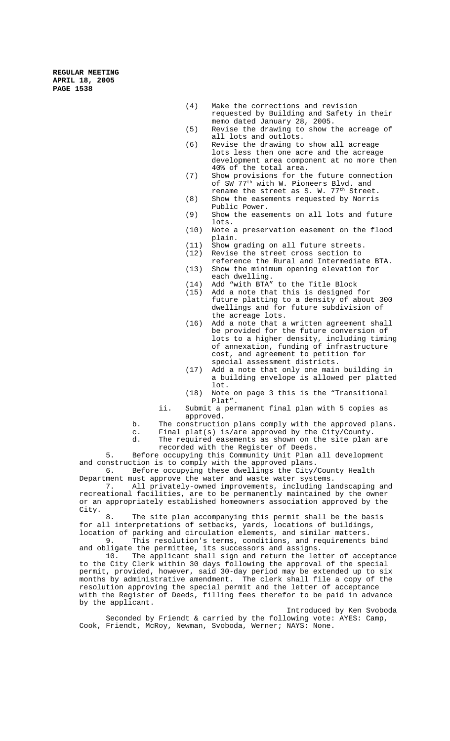- (4) Make the corrections and revision requested by Building and Safety in their memo dated January 28, 2005.
- (5) Revise the drawing to show the acreage of all lots and outlots.
- (6) Revise the drawing to show all acreage lots less then one acre and the acreage development area component at no more then 40% of the total area.
- (7) Show provisions for the future connection of SW 77<sup>th</sup> with W. Pioneers Blvd. and
- rename the street as S. W. 77<sup>th</sup> Street. (8) Show the easements requested by Norris Public Power.
- (9) Show the easements on all lots and future lots.
- (10) Note a preservation easement on the flood plain.
- (11) Show grading on all future streets.
- (12) Revise the street cross section to
- reference the Rural and Intermediate BTA. (13) Show the minimum opening elevation for each dwelling.
- $(14)$  Add "with BTA" to the Title Block<br>(15) Add a note that this is designed
- Add a note that this is designed for future platting to a density of about 300 dwellings and for future subdivision of the acreage lots.
- (16) Add a note that a written agreement shall be provided for the future conversion of lots to a higher density, including timing of annexation, funding of infrastructure cost, and agreement to petition for special assessment districts.
- (17) Add a note that only one main building in a building envelope is allowed per platted lot.
- (18) Note on page 3 this is the "Transitional Plat".
- ii. Submit a permanent final plan with 5 copies as approved.
- b. The construction plans comply with the approved plans.
- c. Final plat(s) is/are approved by the City/County.
- The required easements as shown on the site plan are recorded with the Register of Deeds.

5. Before occupying this Community Unit Plan all development and construction is to comply with the approved plans.<br>6. Before occupying these dwellings the City/

Before occupying these dwellings the City/County Health Department must approve the water and waste water systems.<br>7. All privately-owned improvements, including la

All privately-owned improvements, including landscaping and recreational facilities, are to be permanently maintained by the owner or an appropriately established homeowners association approved by the City.

8. The site plan accompanying this permit shall be the basis for all interpretations of setbacks, yards, locations of buildings, location of parking and circulation elements, and similar matters. 9. This resolution's terms, conditions, and requirements bind and obligate the permittee, its successors and assigns.

10. The applicant shall sign and return the letter of acceptance to the City Clerk within 30 days following the approval of the special permit, provided, however, said 30-day period may be extended up to six months by administrative amendment. The clerk shall file a copy of the resolution approving the special permit and the letter of acceptance with the Register of Deeds, filling fees therefor to be paid in advance by the applicant.

Introduced by Ken Svoboda Seconded by Friendt & carried by the following vote: AYES: Camp, Cook, Friendt, McRoy, Newman, Svoboda, Werner; NAYS: None.